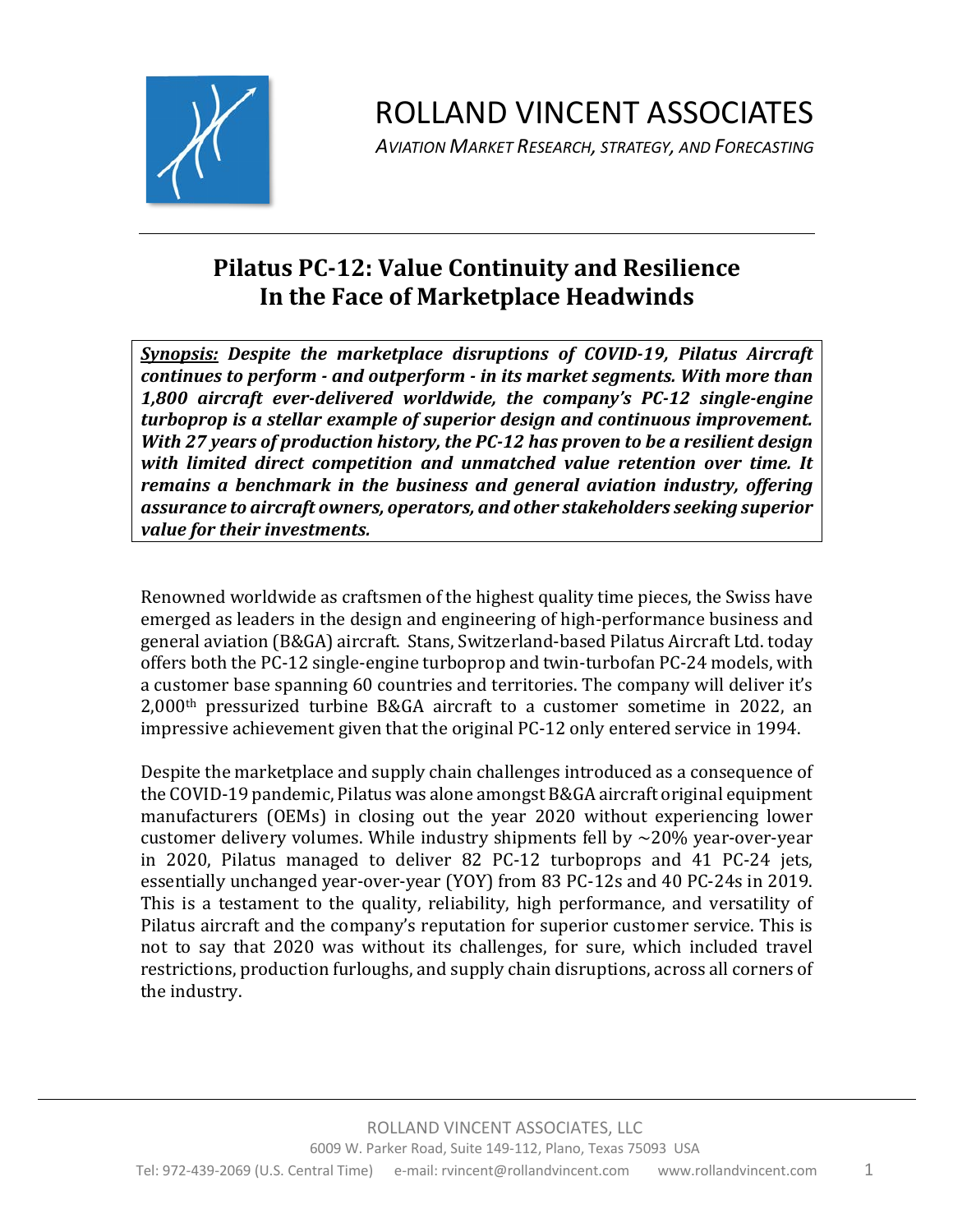

*AVIATION MARKET RESEARCH, STRATEGY, AND FORECASTING*

#### **Pilatus PC-12: Value Continuity and Resilience In the Face of Marketplace Headwinds**

**Synopsis:** Despite the marketplace disruptions of COVID-19, Pilatus Aircraft *continues to perform - and outperform - in its market segments. With more than 1,800 aircraft ever-delivered worldwide, the company's PC-12 single-engine turboprop* is a stellar example of superior design and continuous improvement. *With* 27 years of production history, the PC-12 has proven to be a resilient design *with limited direct competition and unmatched value retention over time. It remains a benchmark in the business and general aviation industry, offering assurance to aircraft owners, operators, and other stakeholders seeking superior*  value for their investments.

Renowned worldwide as craftsmen of the highest quality time pieces, the Swiss have emerged as leaders in the design and engineering of high-performance business and general aviation (B&GA) aircraft. Stans, Switzerland-based Pilatus Aircraft Ltd. today offers both the PC-12 single-engine turboprop and twin-turbofan PC-24 models, with a customer base spanning 60 countries and territories. The company will deliver it's  $2,000$ <sup>th</sup> pressurized turbine B&GA aircraft to a customer sometime in 2022, an impressive achievement given that the original PC-12 only entered service in 1994.

Despite the marketplace and supply chain challenges introduced as a consequence of the COVID-19 pandemic, Pilatus was alone amongst B&GA aircraft original equipment manufacturers (OEMs) in closing out the year 2020 without experiencing lower customer delivery volumes. While industry shipments fell by  $\sim$ 20% year-over-year in 2020, Pilatus managed to deliver 82 PC-12 turboprops and 41 PC-24 jets, essentially unchanged year-over-year (YOY) from 83 PC-12s and 40 PC-24s in 2019. This is a testament to the quality, reliability, high performance, and versatility of Pilatus aircraft and the company's reputation for superior customer service. This is not to say that 2020 was without its challenges, for sure, which included travel restrictions, production furloughs, and supply chain disruptions, across all corners of the industry.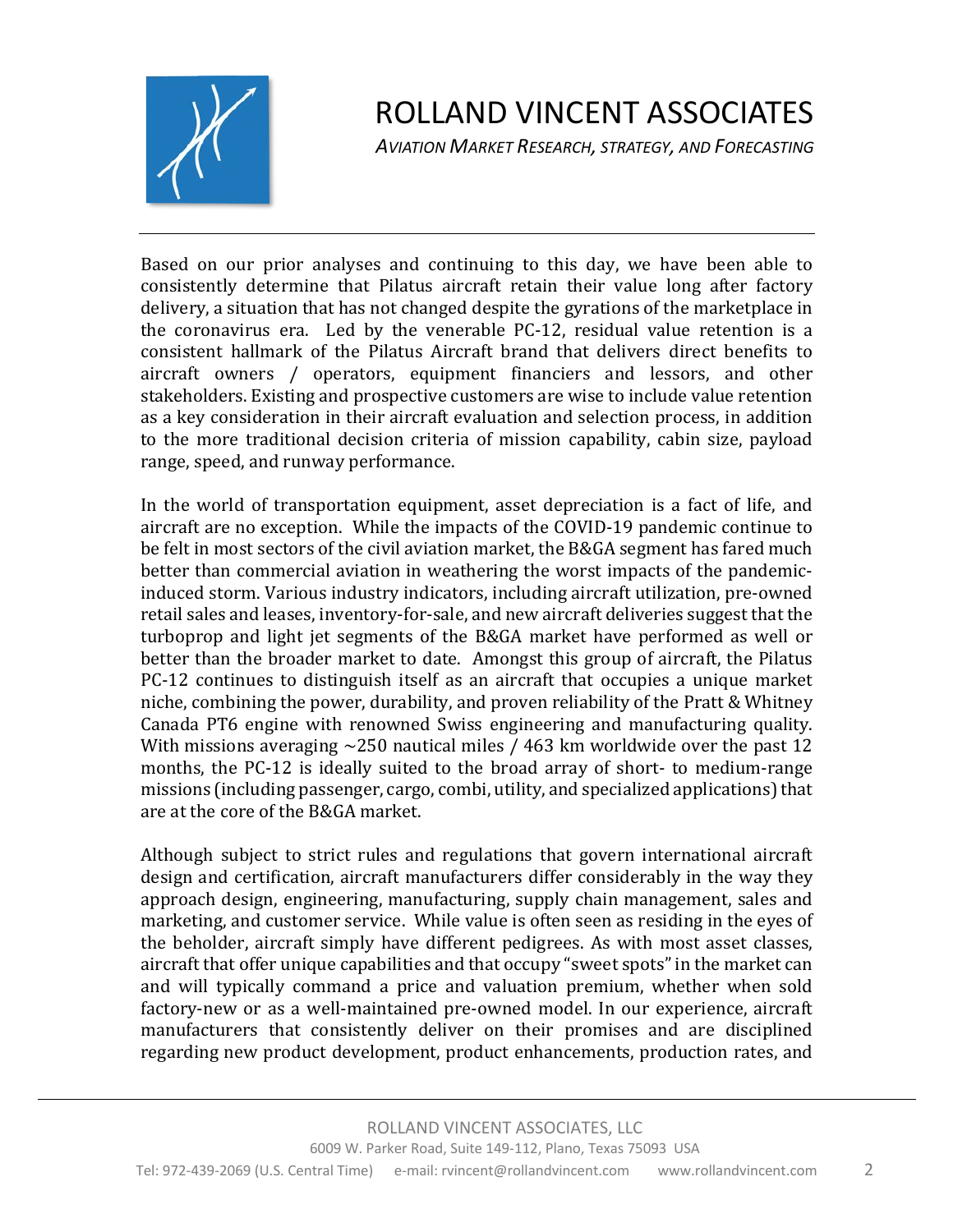

*AVIATION MARKET RESEARCH, STRATEGY, AND FORECASTING*

Based on our prior analyses and continuing to this day, we have been able to consistently determine that Pilatus aircraft retain their value long after factory delivery, a situation that has not changed despite the gyrations of the marketplace in the coronavirus era. Led by the venerable  $PC-12$ , residual value retention is a consistent hallmark of the Pilatus Aircraft brand that delivers direct benefits to aircraft owners / operators, equipment financiers and lessors, and other stakeholders. Existing and prospective customers are wise to include value retention as a key consideration in their aircraft evaluation and selection process, in addition to the more traditional decision criteria of mission capability, cabin size, payload range, speed, and runway performance.

In the world of transportation equipment, asset depreciation is a fact of life, and aircraft are no exception. While the impacts of the COVID-19 pandemic continue to be felt in most sectors of the civil aviation market, the B&GA segment has fared much better than commercial aviation in weathering the worst impacts of the pandemicinduced storm. Various industry indicators, including aircraft utilization, pre-owned retail sales and leases, inventory-for-sale, and new aircraft deliveries suggest that the turboprop and light jet segments of the B&GA market have performed as well or better than the broader market to date. Amongst this group of aircraft, the Pilatus PC-12 continues to distinguish itself as an aircraft that occupies a unique market niche, combining the power, durability, and proven reliability of the Pratt & Whitney Canada PT6 engine with renowned Swiss engineering and manufacturing quality. With missions averaging  $\sim$ 250 nautical miles / 463 km worldwide over the past 12 months, the PC-12 is ideally suited to the broad array of short- to medium-range missions (including passenger, cargo, combi, utility, and specialized applications) that are at the core of the B&GA market.

Although subject to strict rules and regulations that govern international aircraft design and certification, aircraft manufacturers differ considerably in the way they approach design, engineering, manufacturing, supply chain management, sales and marketing, and customer service. While value is often seen as residing in the eyes of the beholder, aircraft simply have different pedigrees. As with most asset classes, aircraft that offer unique capabilities and that occupy "sweet spots" in the market can and will typically command a price and valuation premium, whether when sold factory-new or as a well-maintained pre-owned model. In our experience, aircraft manufacturers that consistently deliver on their promises and are disciplined regarding new product development, product enhancements, production rates, and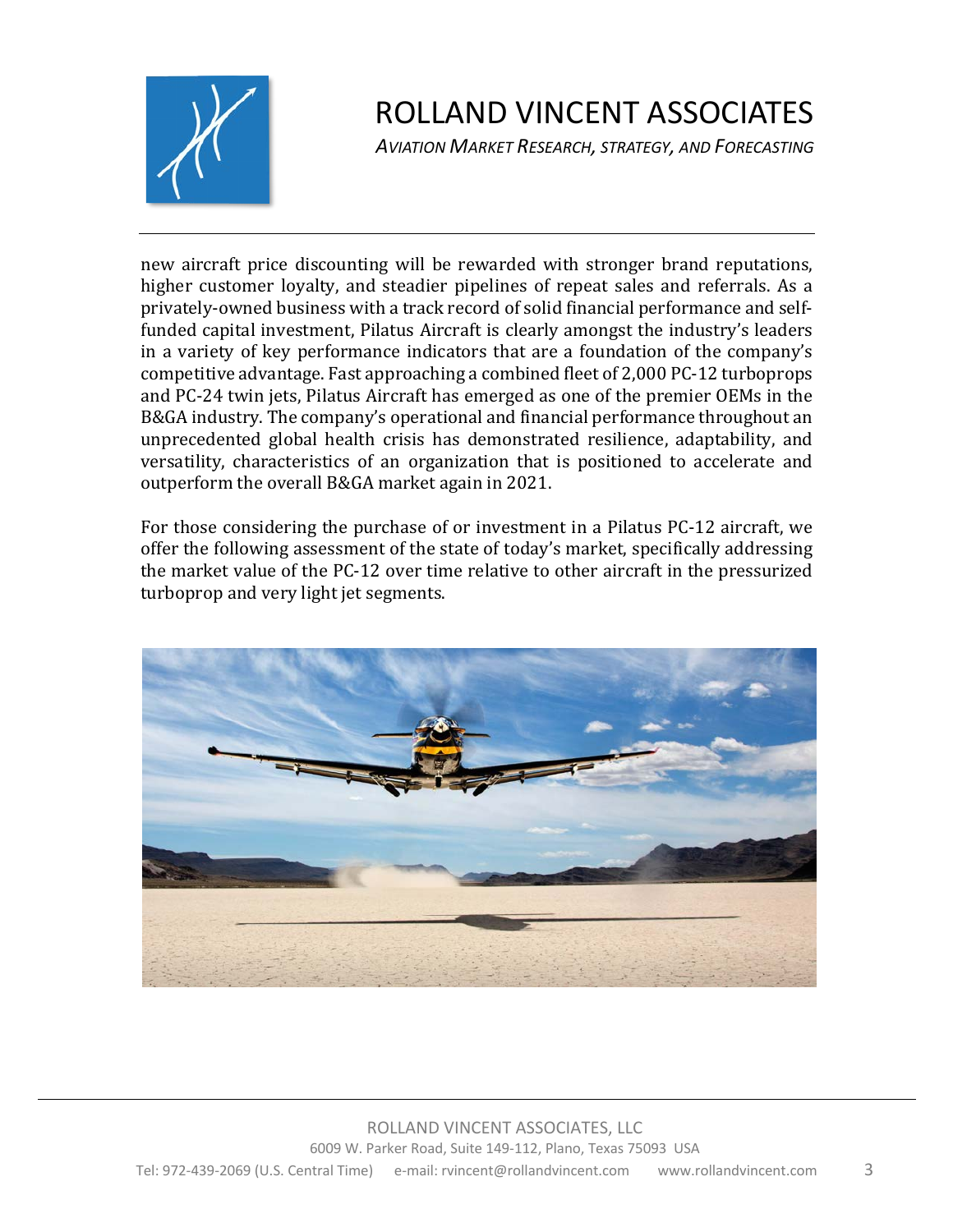

*AVIATION MARKET RESEARCH, STRATEGY, AND FORECASTING*

new aircraft price discounting will be rewarded with stronger brand reputations, higher customer loyalty, and steadier pipelines of repeat sales and referrals. As a privately-owned business with a track record of solid financial performance and selffunded capital investment, Pilatus Aircraft is clearly amongst the industry's leaders in a variety of key performance indicators that are a foundation of the company's competitive advantage. Fast approaching a combined fleet of 2,000 PC-12 turboprops and PC-24 twin jets, Pilatus Aircraft has emerged as one of the premier OEMs in the B&GA industry. The company's operational and financial performance throughout an unprecedented global health crisis has demonstrated resilience, adaptability, and versatility, characteristics of an organization that is positioned to accelerate and outperform the overall B&GA market again in 2021.

For those considering the purchase of or investment in a Pilatus PC-12 aircraft, we offer the following assessment of the state of today's market, specifically addressing the market value of the PC-12 over time relative to other aircraft in the pressurized turboprop and very light jet segments.

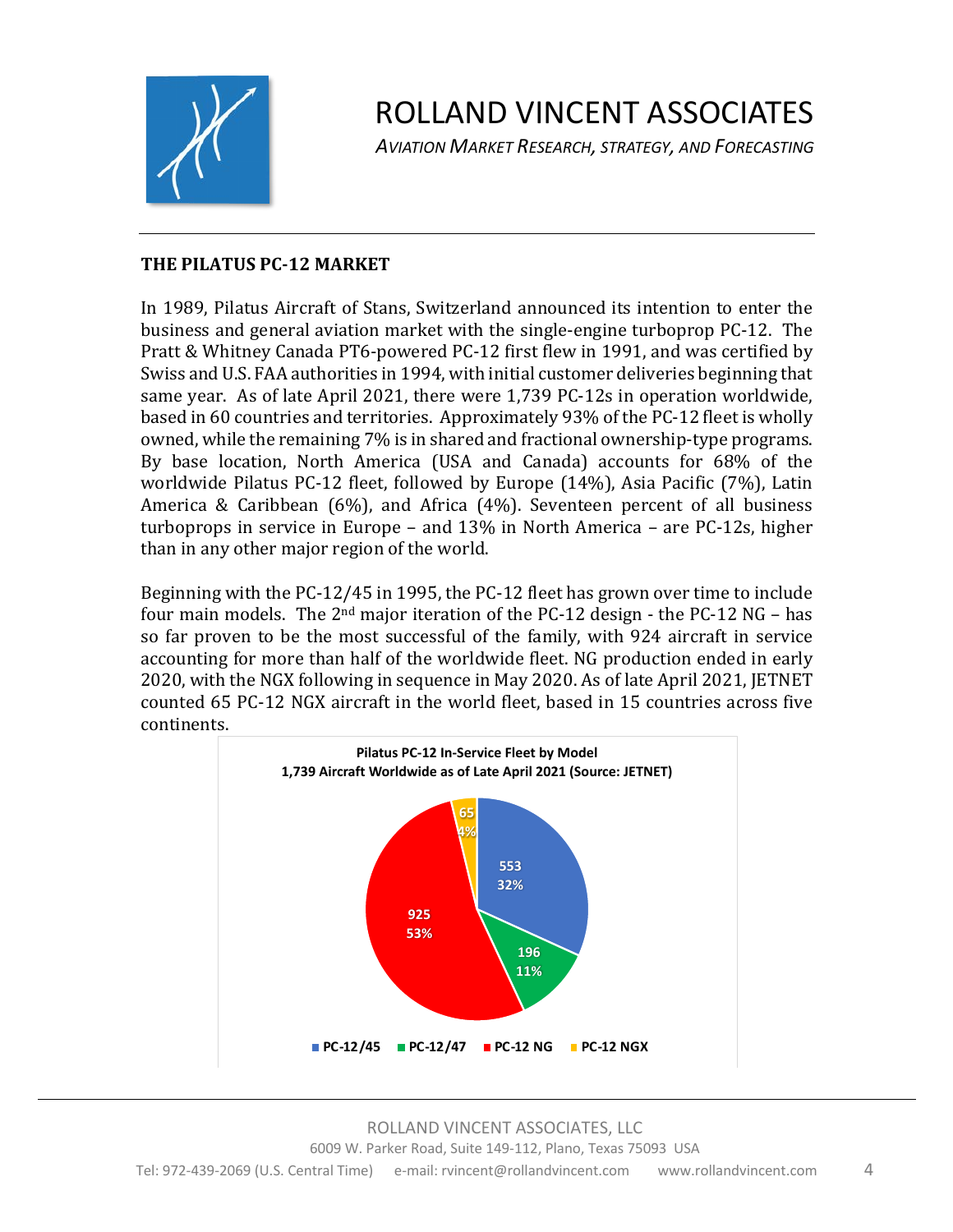

*AVIATION MARKET RESEARCH, STRATEGY, AND FORECASTING*

#### **THE PILATUS PC-12 MARKET**

In 1989, Pilatus Aircraft of Stans, Switzerland announced its intention to enter the business and general aviation market with the single-engine turboprop PC-12. The Pratt & Whitney Canada PT6-powered PC-12 first flew in 1991, and was certified by Swiss and U.S. FAA authorities in 1994, with initial customer deliveries beginning that same year. As of late April 2021, there were 1,739 PC-12s in operation worldwide, based in 60 countries and territories. Approximately 93% of the PC-12 fleet is wholly owned, while the remaining 7% is in shared and fractional ownership-type programs. By base location, North America (USA and Canada) accounts for 68% of the worldwide Pilatus PC-12 fleet, followed by Europe (14%), Asia Pacific (7%), Latin America & Caribbean  $(6%)$ , and Africa  $(4%)$ . Seventeen percent of all business turboprops in service in Europe – and  $13\%$  in North America – are PC-12s, higher than in any other major region of the world.

Beginning with the PC-12/45 in 1995, the PC-12 fleet has grown over time to include four main models. The  $2<sup>nd</sup>$  major iteration of the PC-12 design - the PC-12 NG – has so far proven to be the most successful of the family, with 924 aircraft in service accounting for more than half of the worldwide fleet. NG production ended in early 2020, with the NGX following in sequence in May 2020. As of late April 2021, JETNET counted 65 PC-12 NGX aircraft in the world fleet, based in 15 countries across five continents.

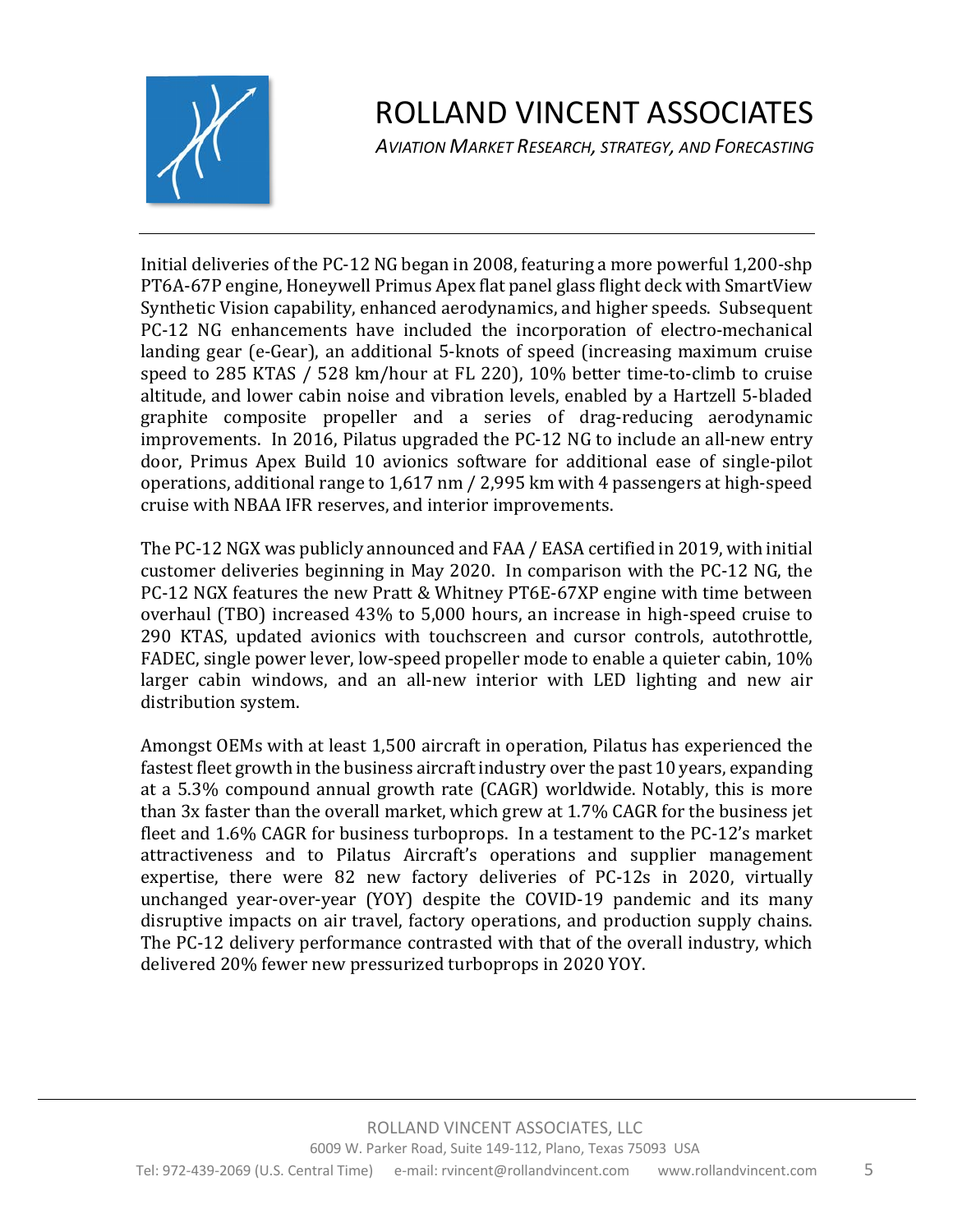

*AVIATION MARKET RESEARCH, STRATEGY, AND FORECASTING*

Initial deliveries of the PC-12 NG began in 2008, featuring a more powerful  $1,200$ -shp PT6A-67P engine, Honeywell Primus Apex flat panel glass flight deck with SmartView Synthetic Vision capability, enhanced aerodynamics, and higher speeds. Subsequent PC-12 NG enhancements have included the incorporation of electro-mechanical landing gear (e-Gear), an additional 5-knots of speed (increasing maximum cruise speed to 285 KTAS / 528 km/hour at FL 220), 10% better time-to-climb to cruise altitude, and lower cabin noise and vibration levels, enabled by a Hartzell 5-bladed graphite composite propeller and a series of drag-reducing aerodynamic improvements. In 2016, Pilatus upgraded the PC-12 NG to include an all-new entry door, Primus Apex Build 10 avionics software for additional ease of single-pilot operations, additional range to  $1,617$  nm  $/$  2,995 km with 4 passengers at high-speed cruise with NBAA IFR reserves, and interior improvements.

The PC-12 NGX was publicly announced and FAA / EASA certified in 2019, with initial customer deliveries beginning in May 2020. In comparison with the PC-12 NG, the PC-12 NGX features the new Pratt & Whitney PT6E-67XP engine with time between overhaul (TBO) increased  $43\%$  to 5,000 hours, an increase in high-speed cruise to 290 KTAS, updated avionics with touchscreen and cursor controls, autothrottle, FADEC, single power lever, low-speed propeller mode to enable a quieter cabin, 10% larger cabin windows, and an all-new interior with LED lighting and new air distribution system.

Amongst OEMs with at least 1,500 aircraft in operation, Pilatus has experienced the fastest fleet growth in the business aircraft industry over the past 10 years, expanding at a 5.3% compound annual growth rate (CAGR) worldwide. Notably, this is more than  $3x$  faster than the overall market, which grew at  $1.7\%$  CAGR for the business jet fleet and  $1.6\%$  CAGR for business turboprops. In a testament to the PC-12's market attractiveness and to Pilatus Aircraft's operations and supplier management expertise, there were 82 new factory deliveries of PC-12s in 2020, virtually unchanged year-over-year (YOY) despite the COVID-19 pandemic and its many disruptive impacts on air travel, factory operations, and production supply chains. The PC-12 delivery performance contrasted with that of the overall industry, which delivered 20% fewer new pressurized turboprops in 2020 YOY.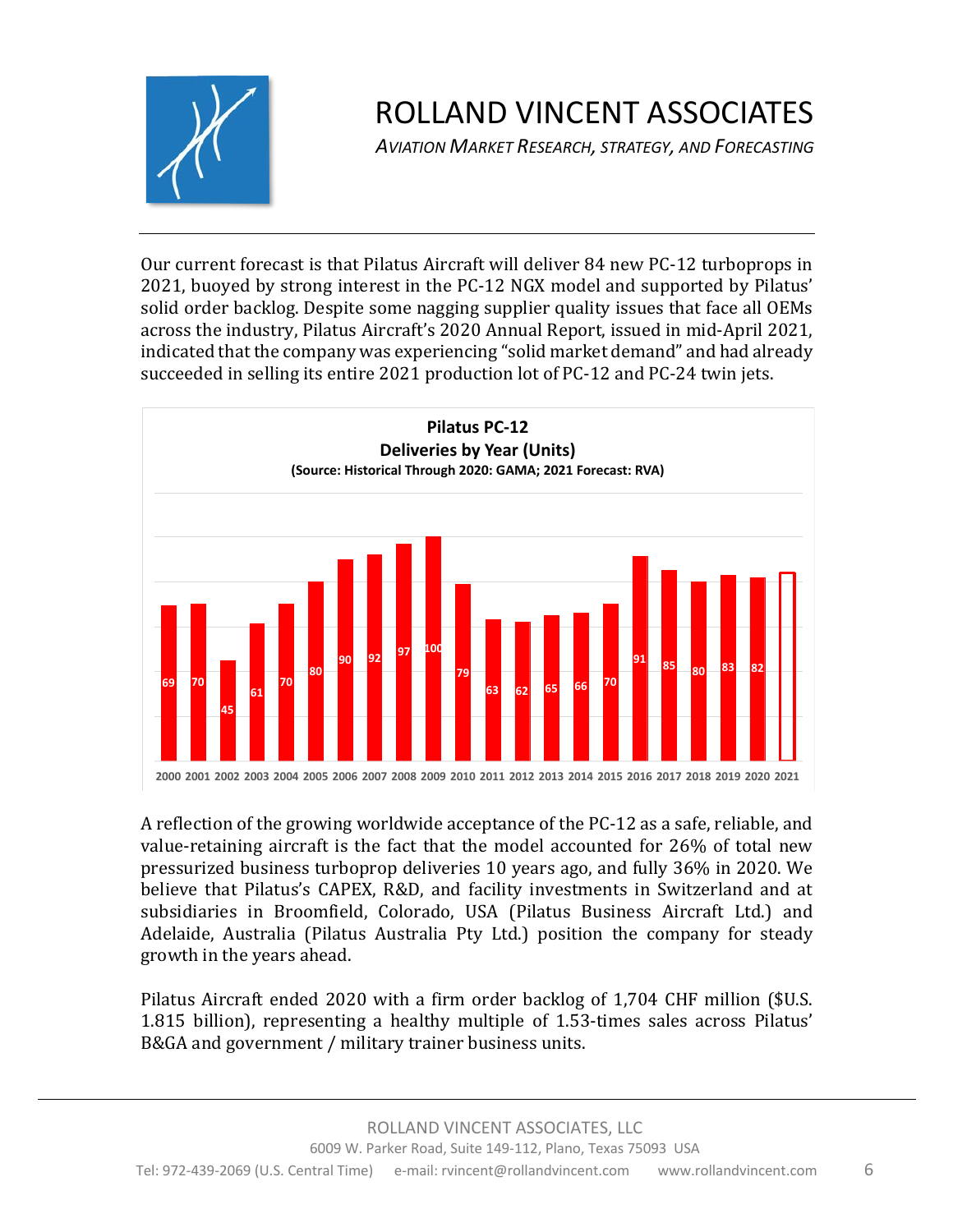

*AVIATION MARKET RESEARCH, STRATEGY, AND FORECASTING*

Our current forecast is that Pilatus Aircraft will deliver 84 new PC-12 turboprops in 2021, buoyed by strong interest in the PC-12 NGX model and supported by Pilatus' solid order backlog. Despite some nagging supplier quality issues that face all OEMs across the industry, Pilatus Aircraft's 2020 Annual Report, issued in mid-April 2021, indicated that the company was experiencing "solid market demand" and had already succeeded in selling its entire 2021 production lot of PC-12 and PC-24 twin jets.



A reflection of the growing worldwide acceptance of the PC-12 as a safe, reliable, and value-retaining aircraft is the fact that the model accounted for 26% of total new pressurized business turboprop deliveries 10 years ago, and fully 36% in 2020. We believe that Pilatus's CAPEX, R&D, and facility investments in Switzerland and at subsidiaries in Broomfield, Colorado, USA (Pilatus Business Aircraft Ltd.) and Adelaide, Australia (Pilatus Australia Pty Ltd.) position the company for steady growth in the years ahead.

Pilatus Aircraft ended 2020 with a firm order backlog of 1,704 CHF million (\$U.S. 1.815 billion), representing a healthy multiple of 1.53-times sales across Pilatus' B&GA and government / military trainer business units.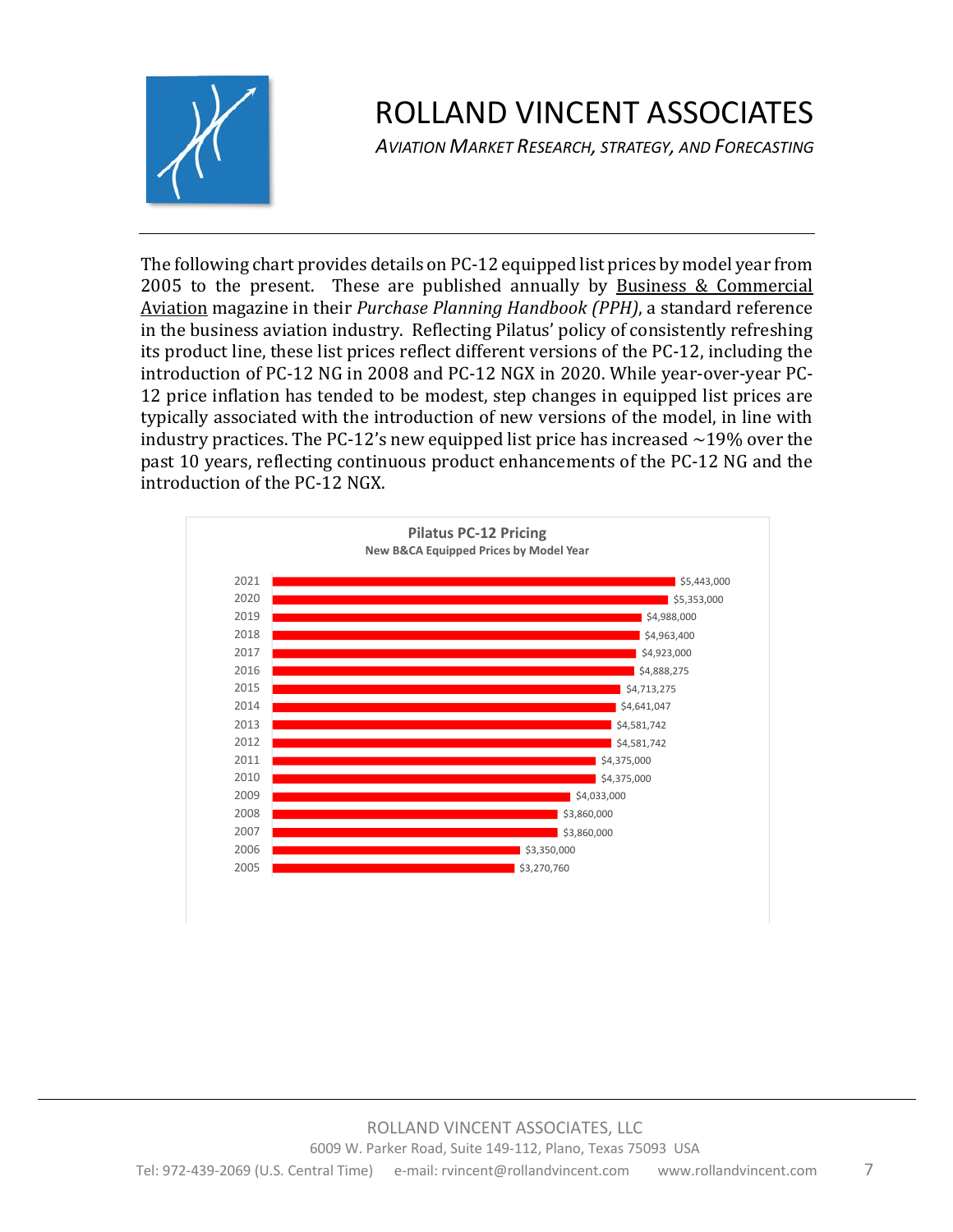

*AVIATION MARKET RESEARCH, STRATEGY, AND FORECASTING*

The following chart provides details on PC-12 equipped list prices by model year from 2005 to the present. These are published annually by Business  $&$  Commercial Aviation magazine in their *Purchase Planning Handbook (PPH)*, a standard reference in the business aviation industry. Reflecting Pilatus' policy of consistently refreshing its product line, these list prices reflect different versions of the PC-12, including the introduction of PC-12 NG in 2008 and PC-12 NGX in 2020. While year-over-year PC-12 price inflation has tended to be modest, step changes in equipped list prices are typically associated with the introduction of new versions of the model, in line with industry practices. The PC-12's new equipped list price has increased  $\sim$ 19% over the past 10 years, reflecting continuous product enhancements of the PC-12 NG and the introduction of the PC-12 NGX.

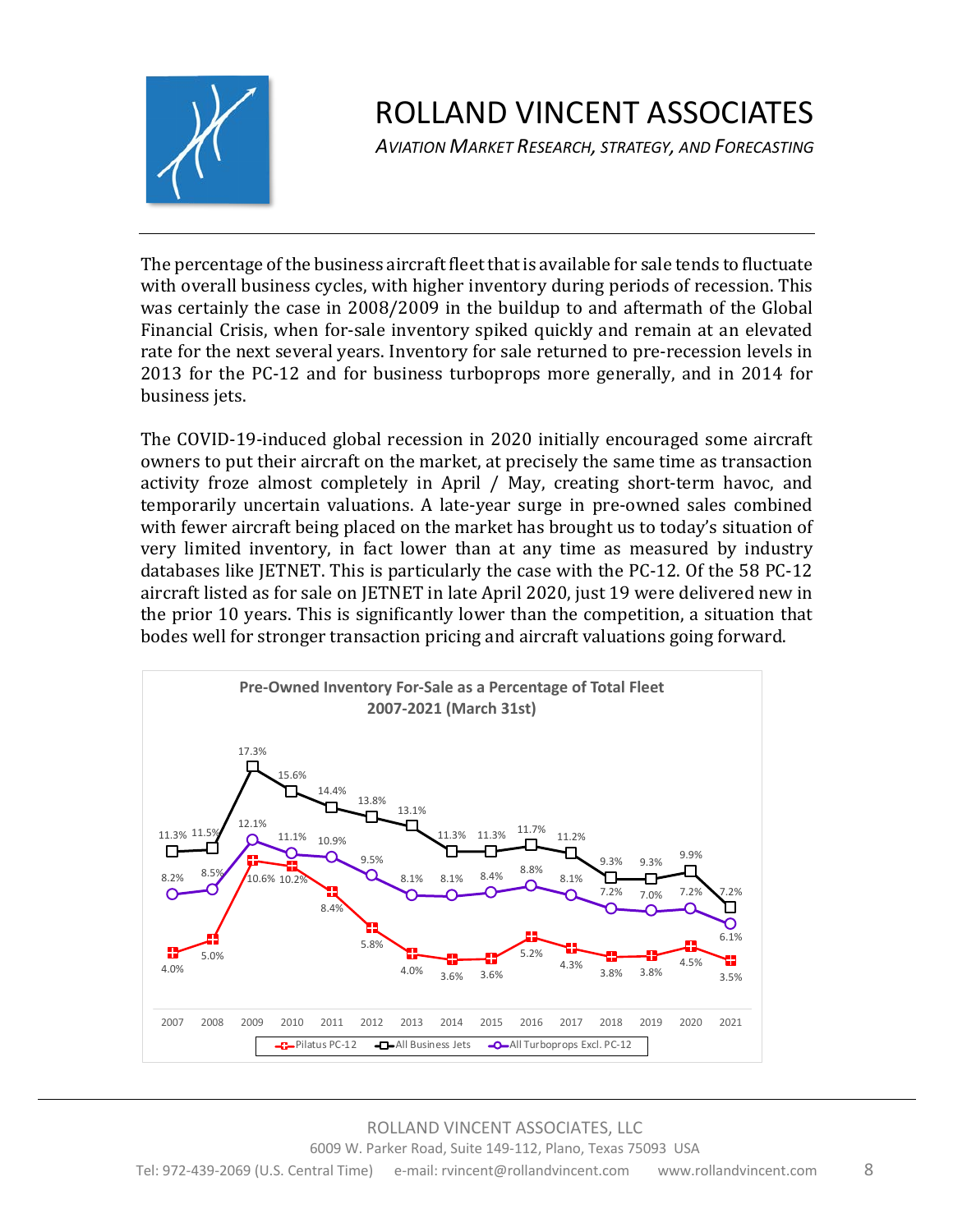

*AVIATION MARKET RESEARCH, STRATEGY, AND FORECASTING*

The percentage of the business aircraft fleet that is available for sale tends to fluctuate with overall business cycles, with higher inventory during periods of recession. This was certainly the case in 2008/2009 in the buildup to and aftermath of the Global Financial Crisis, when for-sale inventory spiked quickly and remain at an elevated rate for the next several years. Inventory for sale returned to pre-recession levels in 2013 for the PC-12 and for business turboprops more generally, and in 2014 for business jets.

The COVID-19-induced global recession in 2020 initially encouraged some aircraft owners to put their aircraft on the market, at precisely the same time as transaction activity froze almost completely in April / May, creating short-term havoc, and temporarily uncertain valuations. A late-year surge in pre-owned sales combined with fewer aircraft being placed on the market has brought us to today's situation of very limited inventory, in fact lower than at any time as measured by industry databases like JETNET. This is particularly the case with the PC-12. Of the 58 PC-12 aircraft listed as for sale on JETNET in late April 2020, just 19 were delivered new in the prior 10 years. This is significantly lower than the competition, a situation that bodes well for stronger transaction pricing and aircraft valuations going forward.

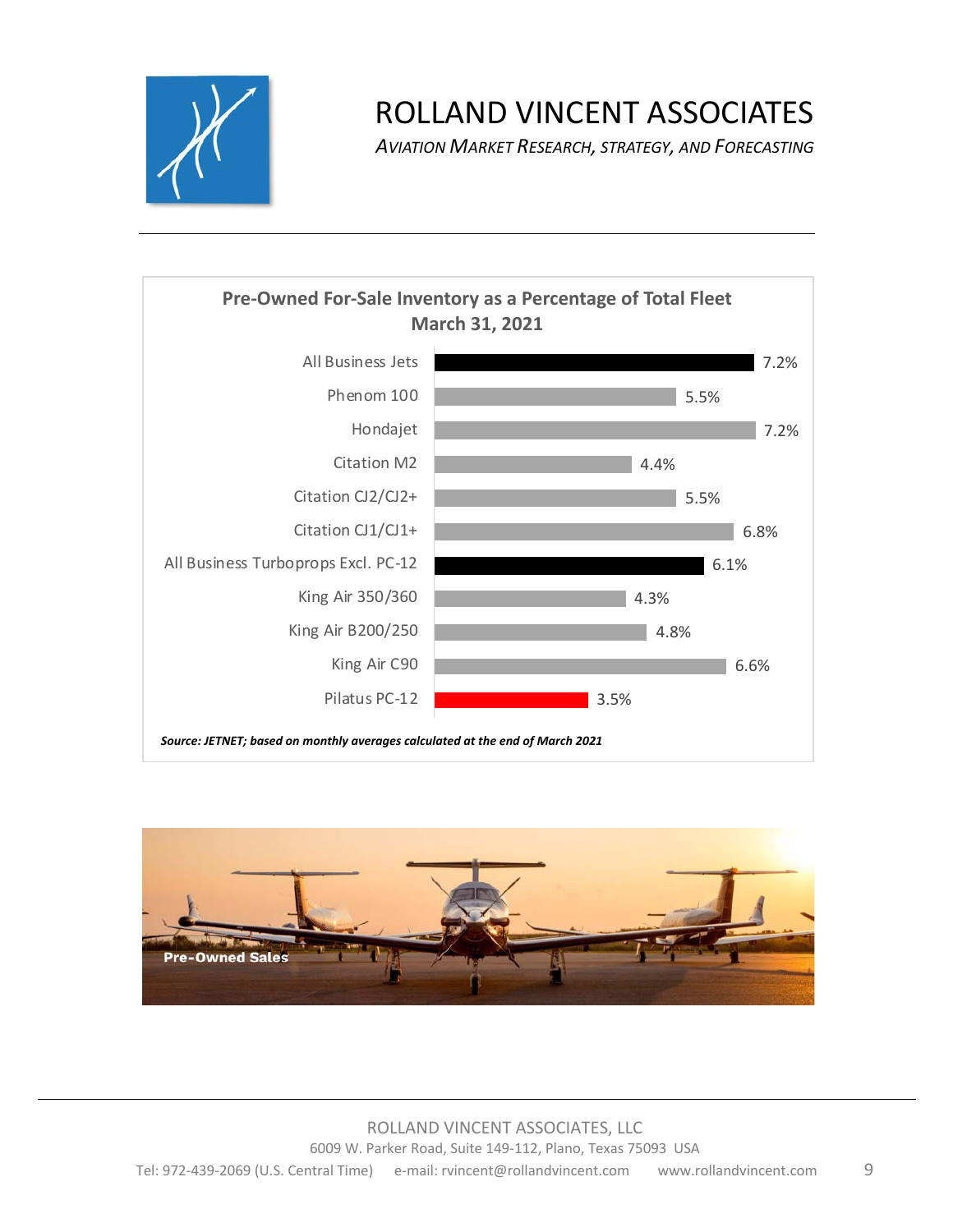

*AVIATION MARKET RESEARCH, STRATEGY, AND FORECASTING*



*Source: JETNET; based on monthly averages calculated at the end of March 2021*

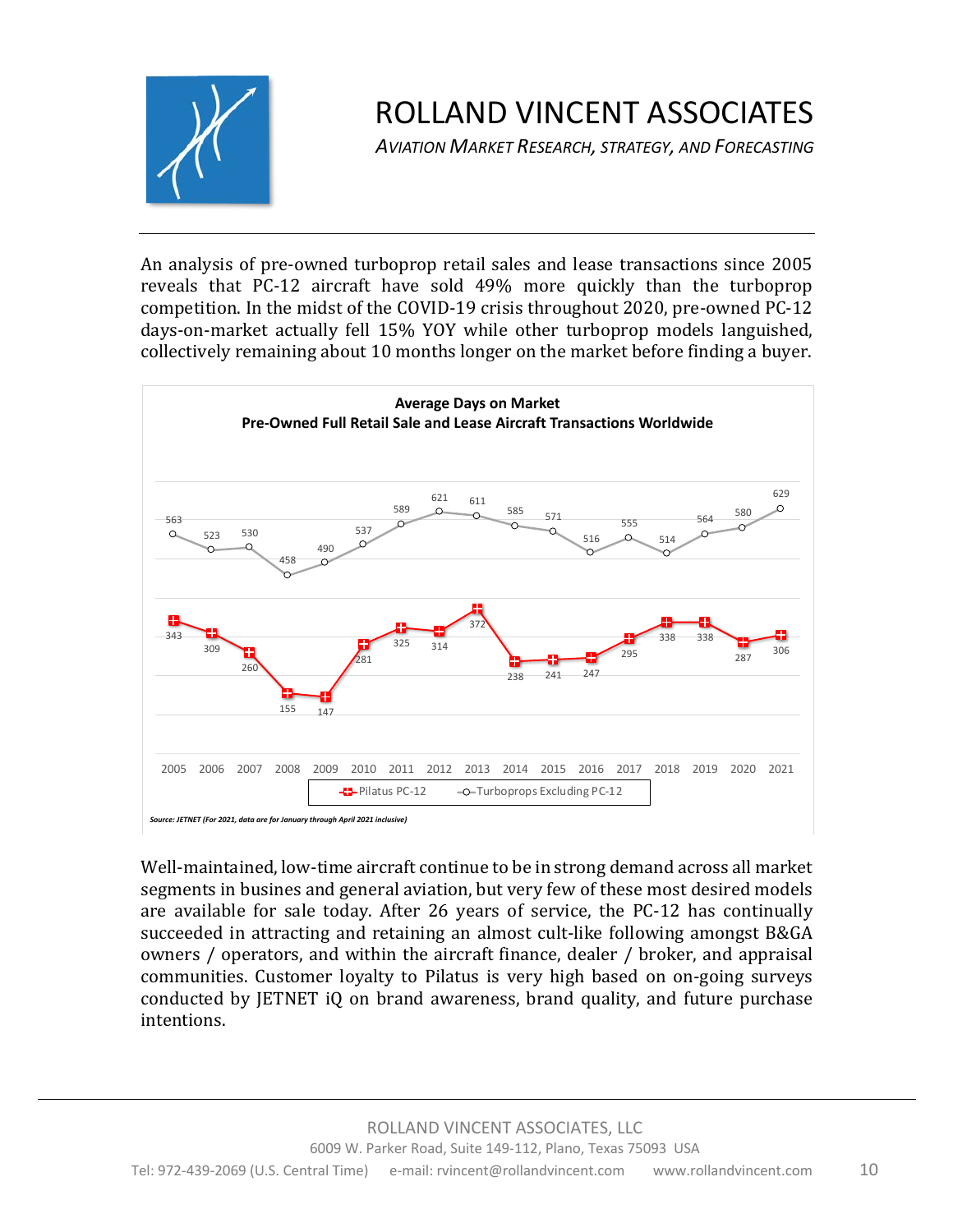

*AVIATION MARKET RESEARCH, STRATEGY, AND FORECASTING*

An analysis of pre-owned turboprop retail sales and lease transactions since 2005 reveals that PC-12 aircraft have sold 49% more quickly than the turboprop competition. In the midst of the COVID-19 crisis throughout 2020, pre-owned PC-12 days-on-market actually fell 15% YOY while other turboprop models languished, collectively remaining about 10 months longer on the market before finding a buyer.



Well-maintained, low-time aircraft continue to be in strong demand across all market segments in busines and general aviation, but very few of these most desired models are available for sale today. After 26 years of service, the PC-12 has continually succeeded in attracting and retaining an almost cult-like following amongst B&GA owners / operators, and within the aircraft finance, dealer / broker, and appraisal communities. Customer loyalty to Pilatus is very high based on on-going surveys conducted by JETNET iQ on brand awareness, brand quality, and future purchase intentions.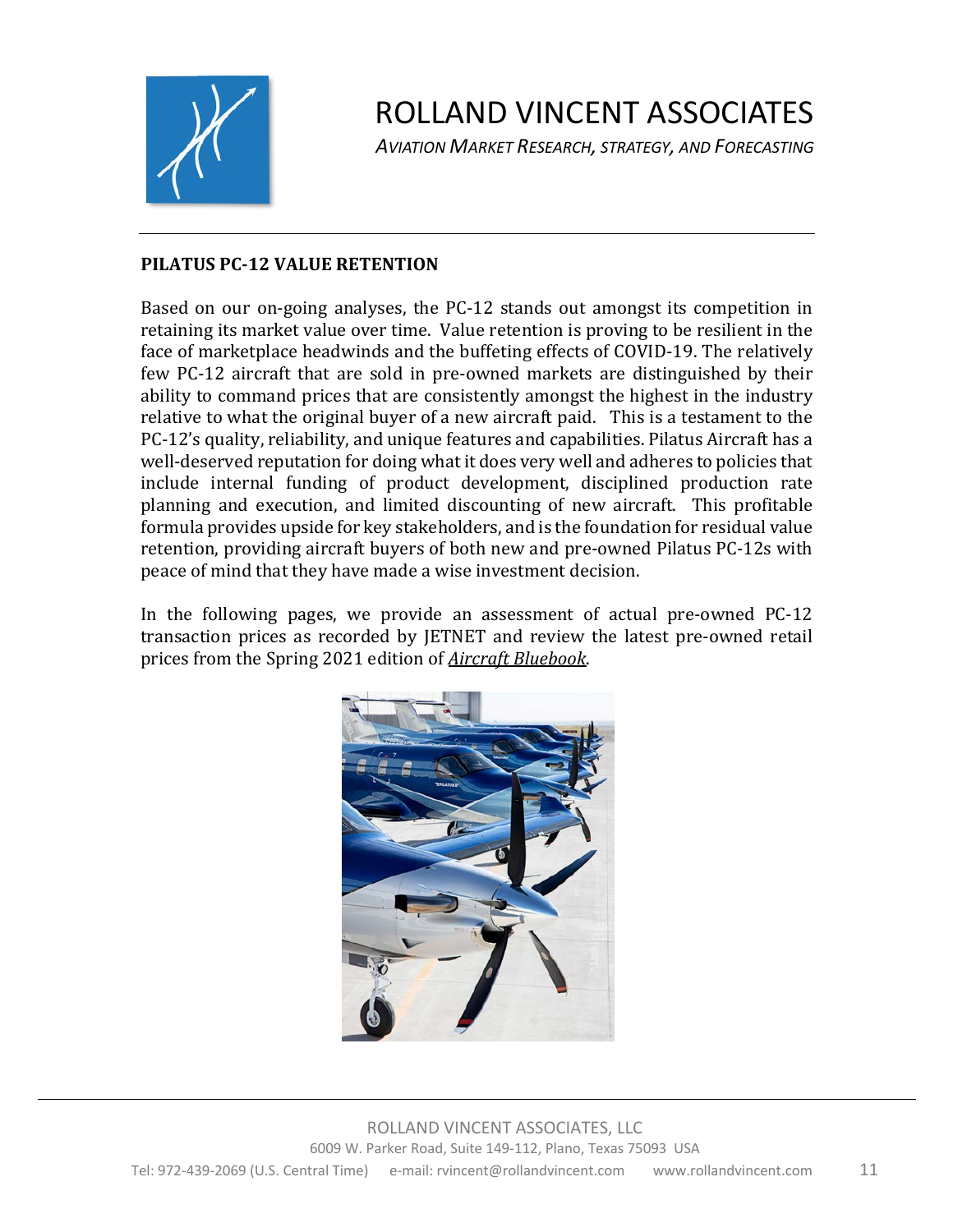

*AVIATION MARKET RESEARCH, STRATEGY, AND FORECASTING*

#### **PILATUS PC-12 VALUE RETENTION**

Based on our on-going analyses, the PC-12 stands out amongst its competition in retaining its market value over time. Value retention is proving to be resilient in the face of marketplace headwinds and the buffeting effects of COVID-19. The relatively few PC-12 aircraft that are sold in pre-owned markets are distinguished by their ability to command prices that are consistently amongst the highest in the industry relative to what the original buyer of a new aircraft paid. This is a testament to the PC-12's quality, reliability, and unique features and capabilities. Pilatus Aircraft has a well-deserved reputation for doing what it does very well and adheres to policies that include internal funding of product development, disciplined production rate planning and execution, and limited discounting of new aircraft. This profitable formula provides upside for key stakeholders, and is the foundation for residual value retention, providing aircraft buyers of both new and pre-owned Pilatus PC-12s with peace of mind that they have made a wise investment decision.

In the following pages, we provide an assessment of actual pre-owned PC-12 transaction prices as recorded by JETNET and review the latest pre-owned retail prices from the Spring 2021 edition of **Aircraft Bluebook**.

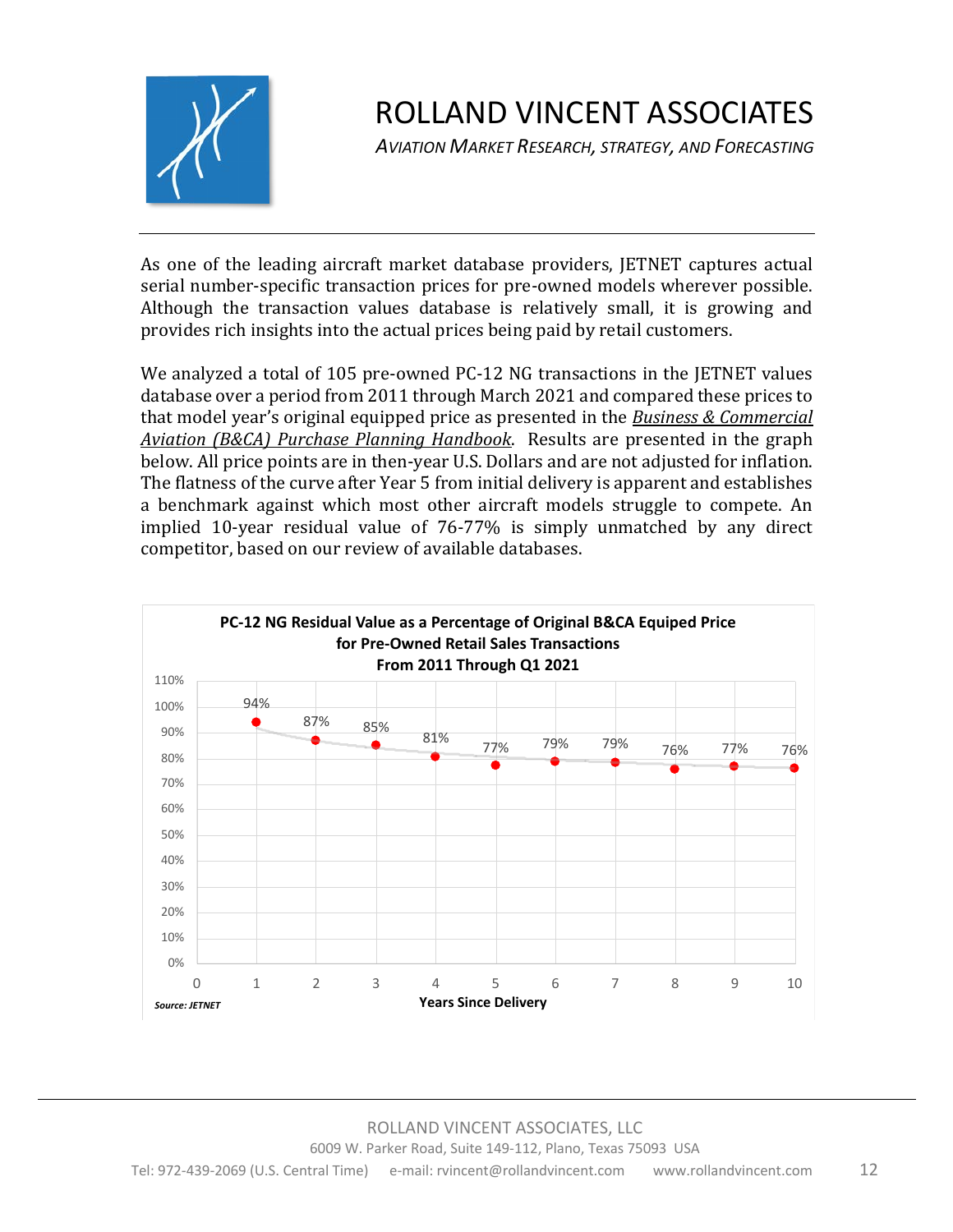

*AVIATION MARKET RESEARCH, STRATEGY, AND FORECASTING*

As one of the leading aircraft market database providers, JETNET captures actual serial number-specific transaction prices for pre-owned models wherever possible. Although the transaction values database is relatively small, it is growing and provides rich insights into the actual prices being paid by retail customers.

We analyzed a total of 105 pre-owned PC-12 NG transactions in the JETNET values database over a period from 2011 through March 2021 and compared these prices to that model year's original equipped price as presented in the **Business & Commercial** *Aviation (B&CA) Purchase Planning Handbook.* Results are presented in the graph below. All price points are in then-year U.S. Dollars and are not adjusted for inflation. The flatness of the curve after Year 5 from initial delivery is apparent and establishes a benchmark against which most other aircraft models struggle to compete. An implied 10-year residual value of 76-77% is simply unmatched by any direct competitor, based on our review of available databases.

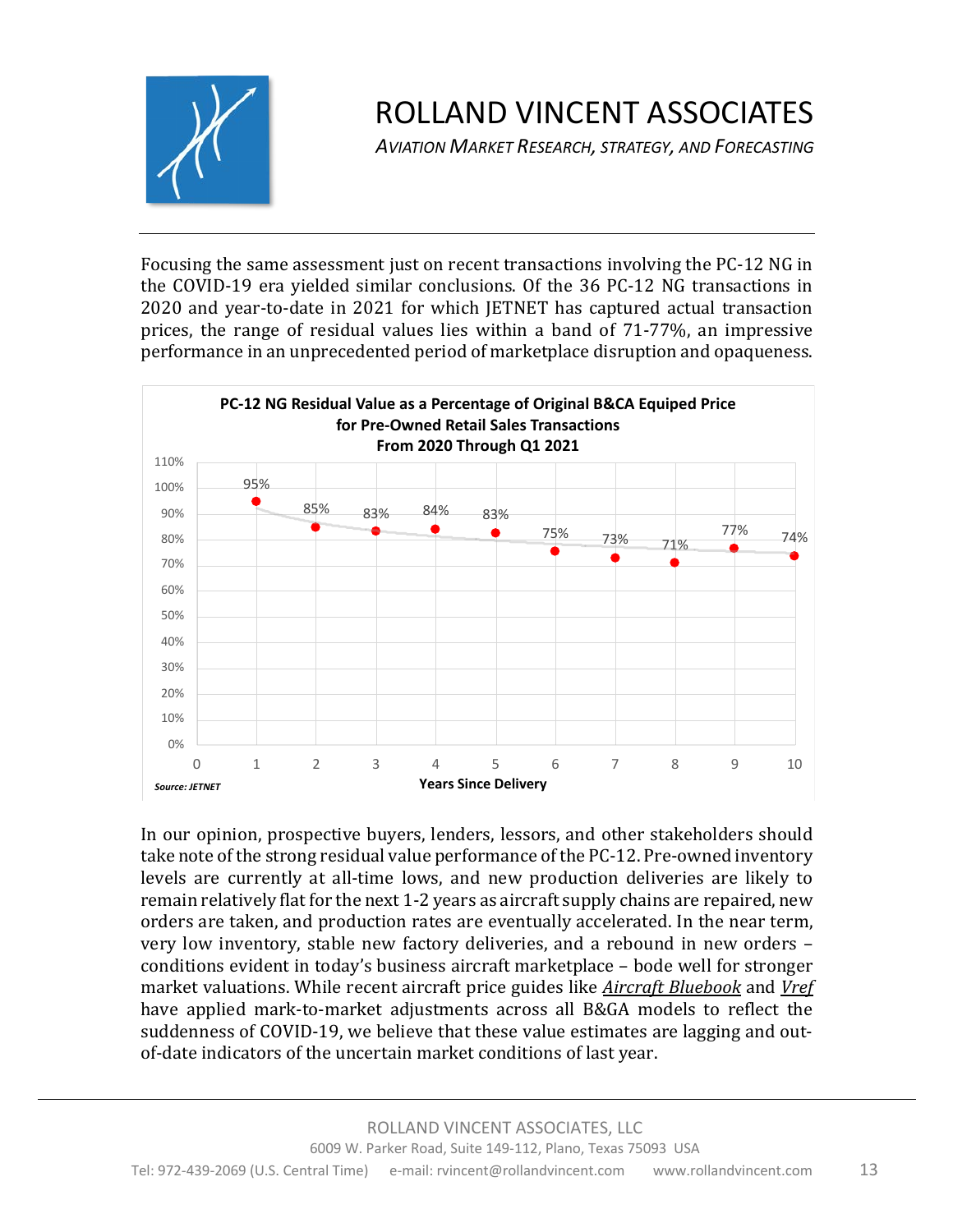

*AVIATION MARKET RESEARCH, STRATEGY, AND FORECASTING*

Focusing the same assessment just on recent transactions involving the PC-12 NG in the COVID-19 era yielded similar conclusions. Of the 36 PC-12 NG transactions in 2020 and year-to-date in 2021 for which JETNET has captured actual transaction prices, the range of residual values lies within a band of  $71-77\%$ , an impressive performance in an unprecedented period of marketplace disruption and opaqueness.



In our opinion, prospective buyers, lenders, lessors, and other stakeholders should take note of the strong residual value performance of the PC-12. Pre-owned inventory levels are currently at all-time lows, and new production deliveries are likely to remain relatively flat for the next 1-2 years as aircraft supply chains are repaired, new orders are taken, and production rates are eventually accelerated. In the near term, very low inventory, stable new factory deliveries, and a rebound in new orders conditions evident in today's business aircraft marketplace - bode well for stronger market valuations. While recent aircraft price guides like *Aircraft Bluebook* and *Vref* have applied mark-to-market adjustments across all B&GA models to reflect the suddenness of COVID-19, we believe that these value estimates are lagging and outof-date indicators of the uncertain market conditions of last year.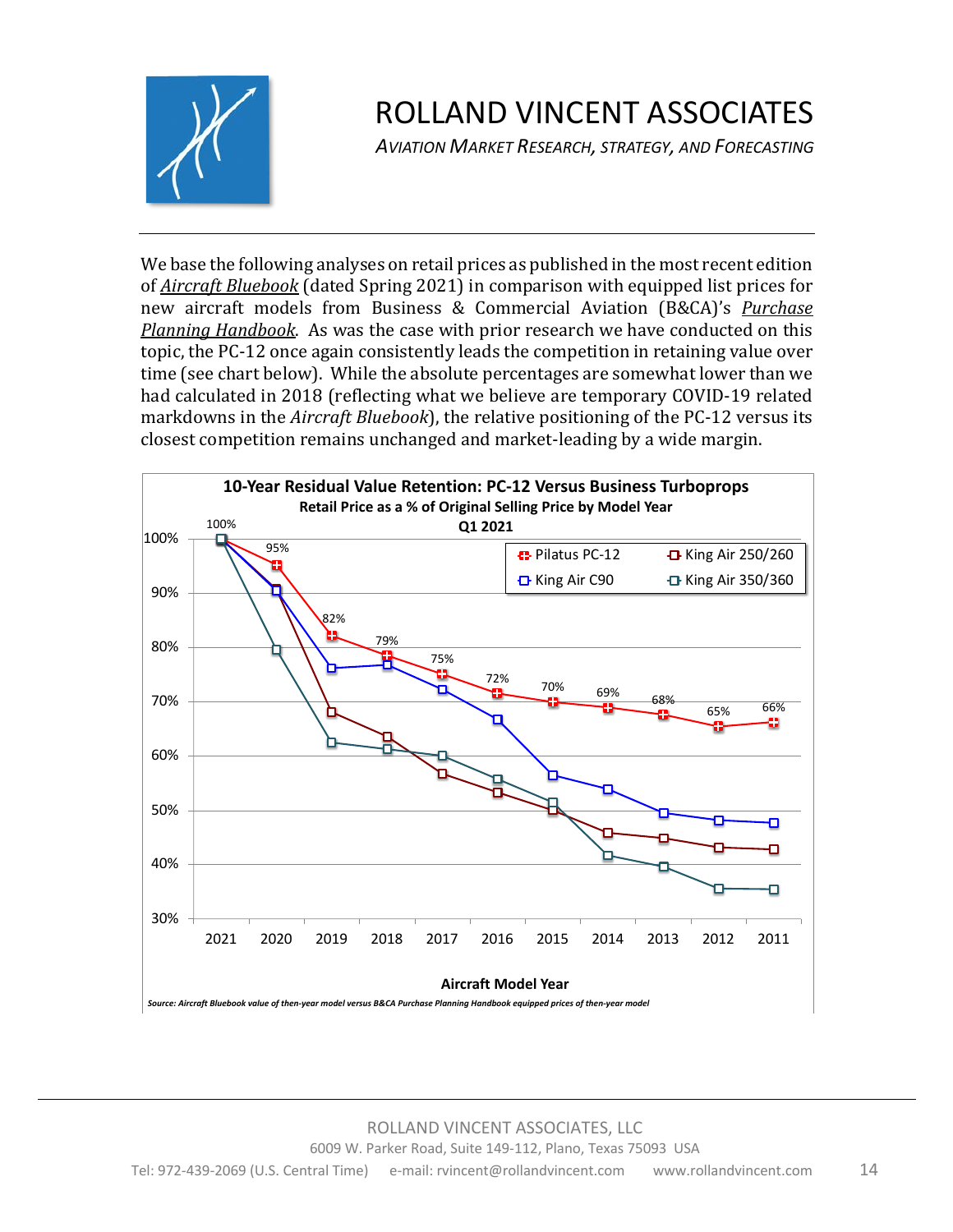

*AVIATION MARKET RESEARCH, STRATEGY, AND FORECASTING*

We base the following analyses on retail prices as published in the most recent edition of *Aircraft Bluebook* (dated Spring 2021) in comparison with equipped list prices for new aircraft models from Business & Commercial Aviation (B&CA)'s *Purchase Planning Handbook*. As was the case with prior research we have conducted on this topic, the PC-12 once again consistently leads the competition in retaining value over time (see chart below). While the absolute percentages are somewhat lower than we had calculated in 2018 (reflecting what we believe are temporary COVID-19 related markdowns in the *Aircraft Bluebook*), the relative positioning of the PC-12 versus its closest competition remains unchanged and market-leading by a wide margin.

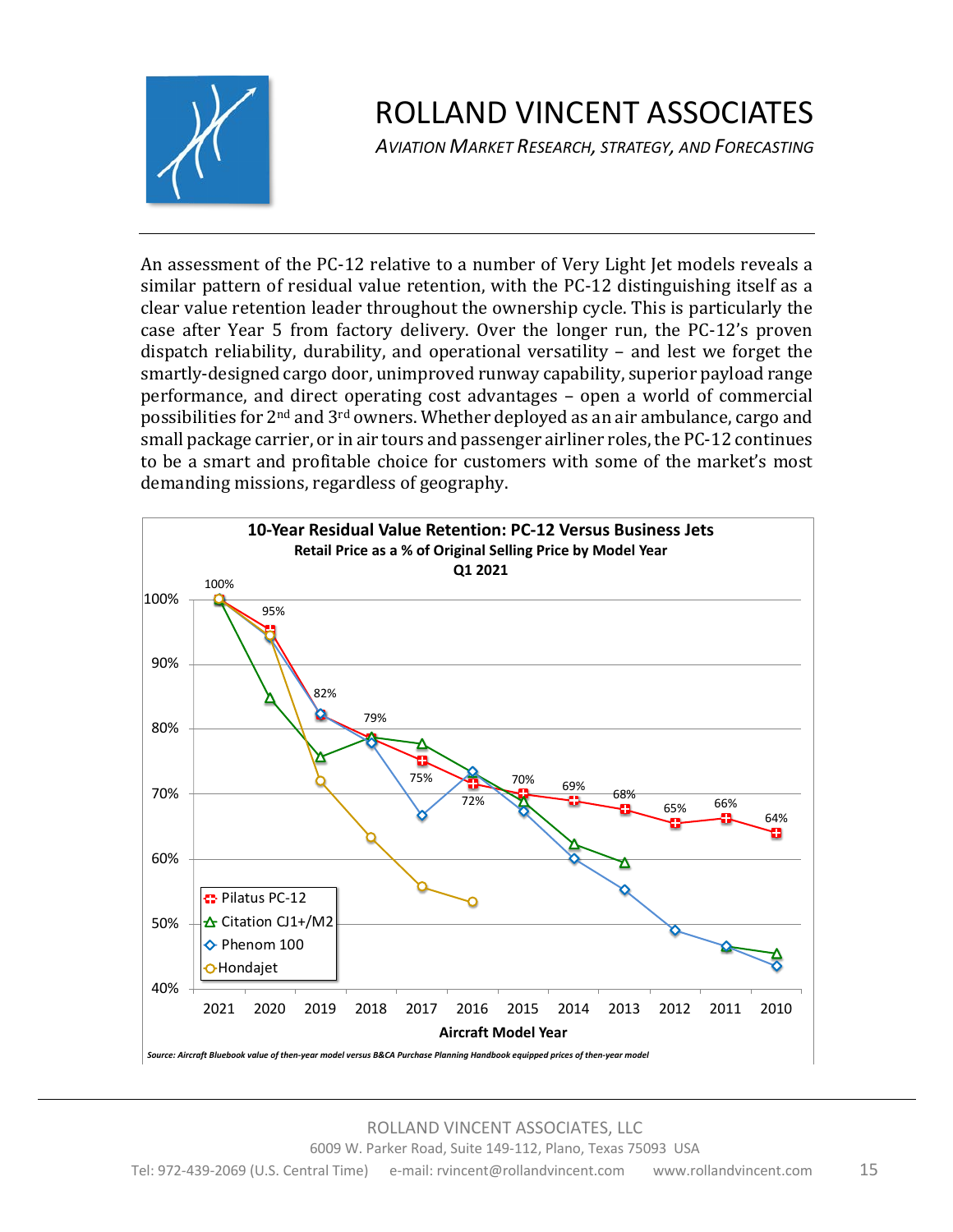

*AVIATION MARKET RESEARCH, STRATEGY, AND FORECASTING*

An assessment of the PC-12 relative to a number of Very Light Jet models reveals a similar pattern of residual value retention, with the PC-12 distinguishing itself as a clear value retention leader throughout the ownership cycle. This is particularly the case after Year 5 from factory delivery. Over the longer run, the PC-12's proven dispatch reliability, durability, and operational versatility  $-$  and lest we forget the smartly-designed cargo door, unimproved runway capability, superior payload range performance, and direct operating cost advantages – open a world of commercial possibilities for  $2<sup>nd</sup>$  and  $3<sup>rd</sup>$  owners. Whether deployed as an air ambulance, cargo and small package carrier, or in air tours and passenger airliner roles, the PC-12 continues to be a smart and profitable choice for customers with some of the market's most demanding missions, regardless of geography.

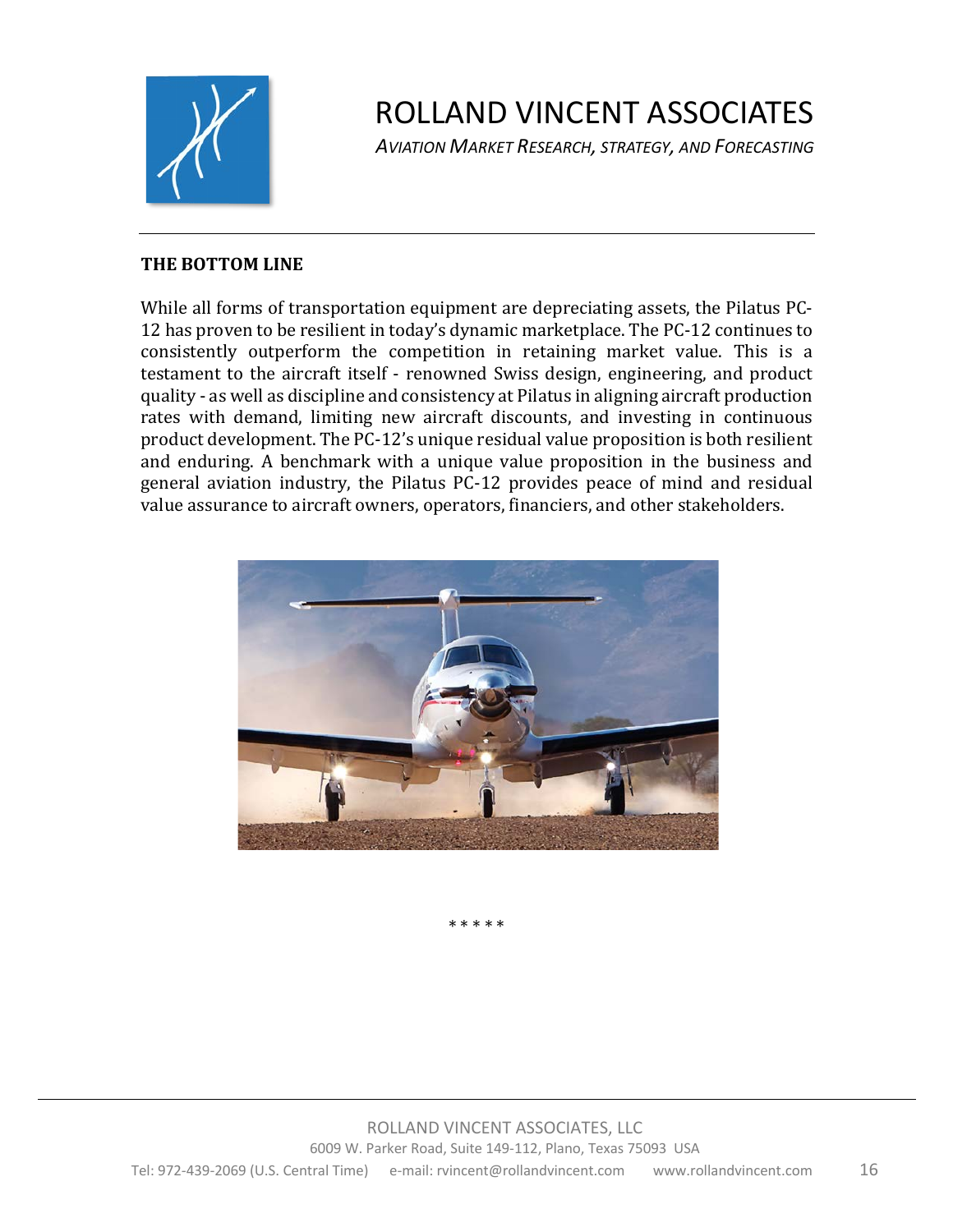

*AVIATION MARKET RESEARCH, STRATEGY, AND FORECASTING*

#### **THE BOTTOM LINE**

While all forms of transportation equipment are depreciating assets, the Pilatus PC-12 has proven to be resilient in today's dynamic marketplace. The PC-12 continues to consistently outperform the competition in retaining market value. This is a testament to the aircraft itself - renowned Swiss design, engineering, and product quality - as well as discipline and consistency at Pilatus in aligning aircraft production rates with demand, limiting new aircraft discounts, and investing in continuous product development. The PC-12's unique residual value proposition is both resilient and enduring. A benchmark with a unique value proposition in the business and general aviation industry, the Pilatus PC-12 provides peace of mind and residual value assurance to aircraft owners, operators, financiers, and other stakeholders.



\* \* \* \* \*